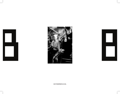





BISTROBARBERLIN.NL